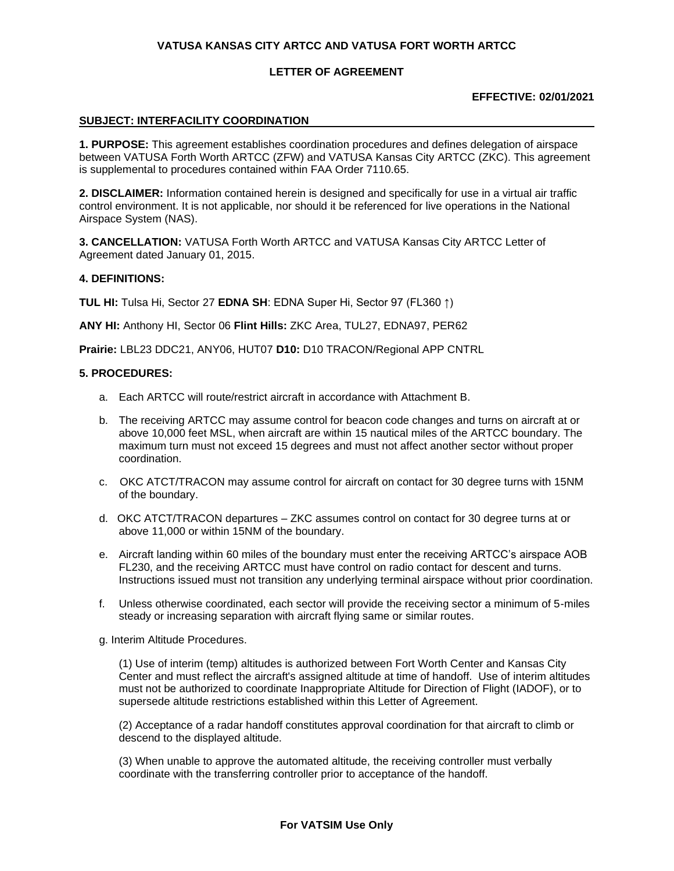### **LETTER OF AGREEMENT**

### **EFFECTIVE: 02/01/2021**

#### **SUBJECT: INTERFACILITY COORDINATION**

**1. PURPOSE:** This agreement establishes coordination procedures and defines delegation of airspace between VATUSA Forth Worth ARTCC (ZFW) and VATUSA Kansas City ARTCC (ZKC). This agreement is supplemental to procedures contained within FAA Order 7110.65.

**2. DISCLAIMER:** Information contained herein is designed and specifically for use in a virtual air traffic control environment. It is not applicable, nor should it be referenced for live operations in the National Airspace System (NAS).

**3. CANCELLATION:** VATUSA Forth Worth ARTCC and VATUSA Kansas City ARTCC Letter of Agreement dated January 01, 2015.

#### **4. DEFINITIONS:**

**TUL HI:** Tulsa Hi, Sector 27 **EDNA SH**: EDNA Super Hi, Sector 97 (FL360 ↑)

**ANY HI:** Anthony HI, Sector 06 **Flint Hills:** ZKC Area, TUL27, EDNA97, PER62

**Prairie:** LBL23 DDC21, ANY06, HUT07 **D10:** D10 TRACON/Regional APP CNTRL

#### **5. PROCEDURES:**

- a. Each ARTCC will route/restrict aircraft in accordance with Attachment B.
- b. The receiving ARTCC may assume control for beacon code changes and turns on aircraft at or above 10,000 feet MSL, when aircraft are within 15 nautical miles of the ARTCC boundary. The maximum turn must not exceed 15 degrees and must not affect another sector without proper coordination.
- c. OKC ATCT/TRACON may assume control for aircraft on contact for 30 degree turns with 15NM of the boundary.
- d. OKC ATCT/TRACON departures ZKC assumes control on contact for 30 degree turns at or above 11,000 or within 15NM of the boundary.
- e. Aircraft landing within 60 miles of the boundary must enter the receiving ARTCC's airspace AOB FL230, and the receiving ARTCC must have control on radio contact for descent and turns. Instructions issued must not transition any underlying terminal airspace without prior coordination.
- f. Unless otherwise coordinated, each sector will provide the receiving sector a minimum of 5-miles steady or increasing separation with aircraft flying same or similar routes.
- g. Interim Altitude Procedures.

(1) Use of interim (temp) altitudes is authorized between Fort Worth Center and Kansas City Center and must reflect the aircraft's assigned altitude at time of handoff. Use of interim altitudes must not be authorized to coordinate Inappropriate Altitude for Direction of Flight (IADOF), or to supersede altitude restrictions established within this Letter of Agreement.

(2) Acceptance of a radar handoff constitutes approval coordination for that aircraft to climb or descend to the displayed altitude.

(3) When unable to approve the automated altitude, the receiving controller must verbally coordinate with the transferring controller prior to acceptance of the handoff.

#### **For VATSIM Use Only**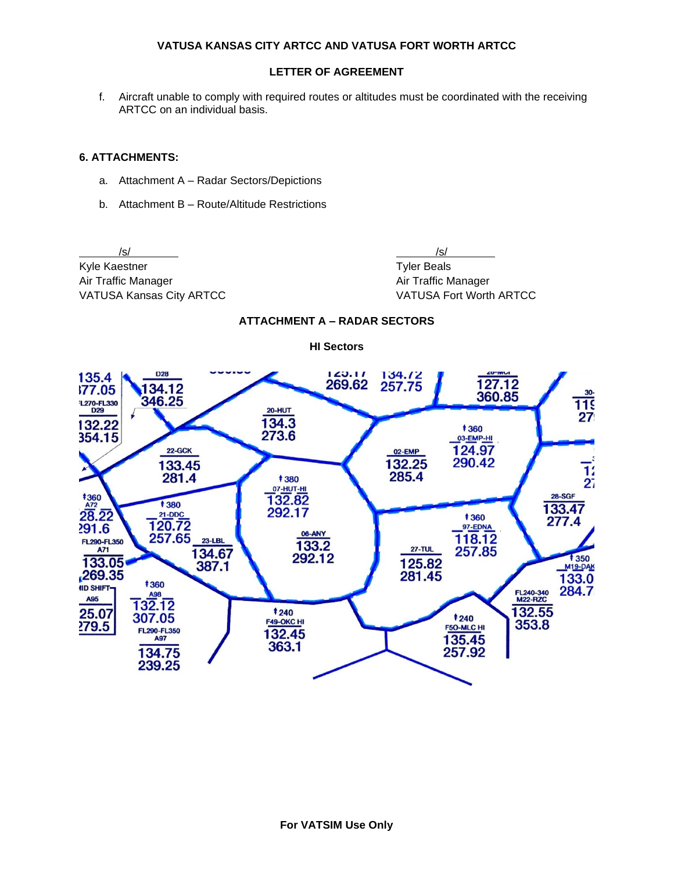# **LETTER OF AGREEMENT**

f. Aircraft unable to comply with required routes or altitudes must be coordinated with the receiving ARTCC on an individual basis.

### **6. ATTACHMENTS:**

- a. Attachment A Radar Sectors/Depictions
- b. Attachment B Route/Altitude Restrictions

/s/ /s/ Kyle Kaestner Tyler Beals Air Traffic Manager **Air Traffic Manager** Air Traffic Manager VATUSA Kansas City ARTCC VATUSA Fort Worth ARTCC



# **ATTACHMENT A – RADAR SECTORS**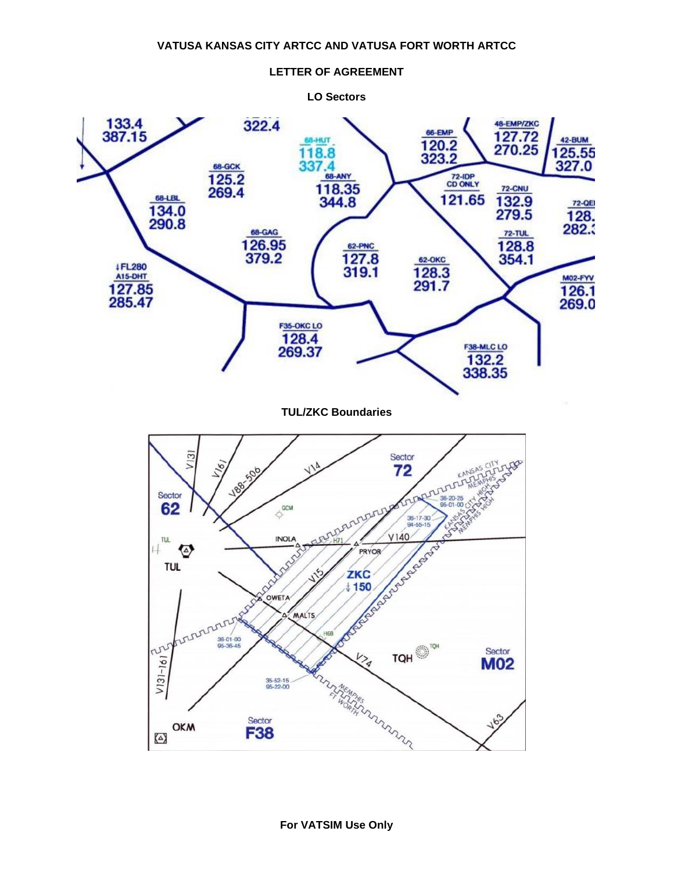

#### **LETTER OF AGREEMENT**

**For VATSIM Use Only**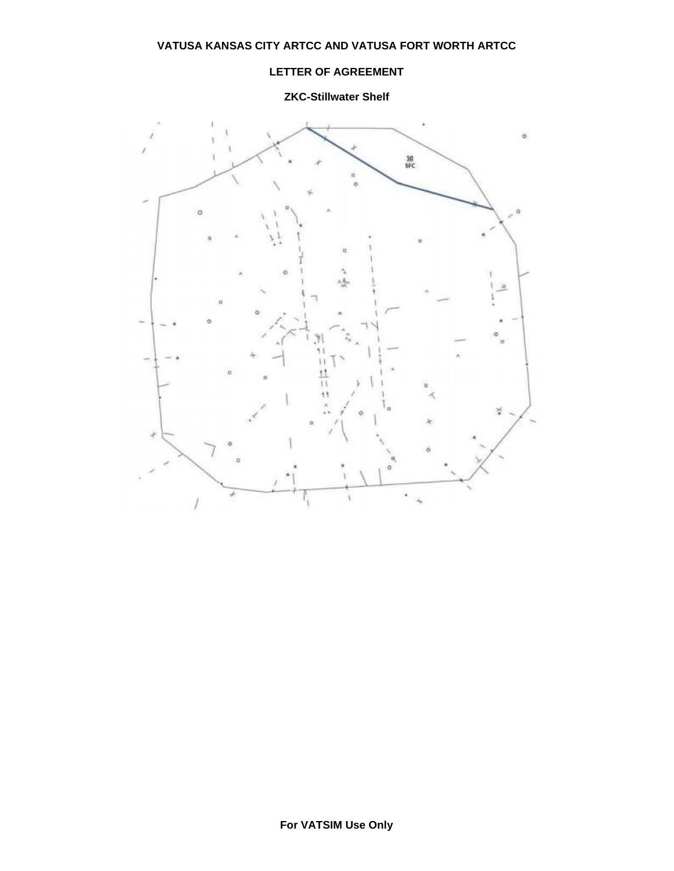# **LETTER OF AGREEMENT**

**ZKC-Stillwater Shelf**

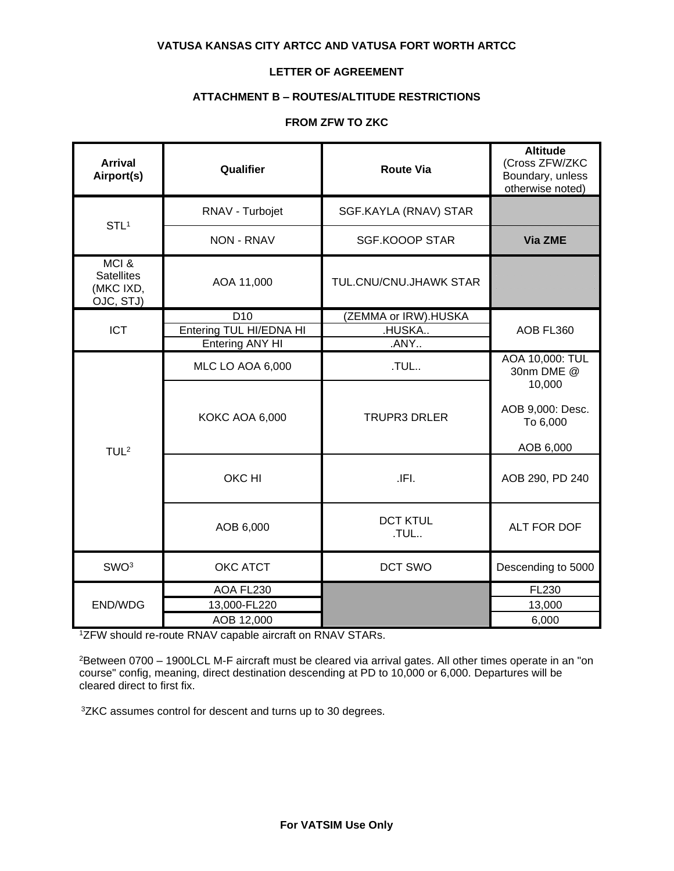# **LETTER OF AGREEMENT**

# **ATTACHMENT B – ROUTES/ALTITUDE RESTRICTIONS**

# **FROM ZFW TO ZKC**

| <b>Arrival</b><br>Airport(s)                        | Qualifier               | <b>Route Via</b>        | <b>Altitude</b><br>(Cross ZFW/ZKC<br>Boundary, unless<br>otherwise noted) |
|-----------------------------------------------------|-------------------------|-------------------------|---------------------------------------------------------------------------|
| STL <sup>1</sup>                                    | RNAV - Turbojet         | SGF.KAYLA (RNAV) STAR   |                                                                           |
|                                                     | <b>NON - RNAV</b>       | <b>SGF.KOOOP STAR</b>   | Via ZME                                                                   |
| MCI&<br><b>Satellites</b><br>(MKC IXD,<br>OJC, STJ) | AOA 11,000              | TUL.CNU/CNU.JHAWK STAR  |                                                                           |
|                                                     | D <sub>10</sub>         | (ZEMMA or IRW).HUSKA    |                                                                           |
| <b>ICT</b>                                          | Entering TUL HI/EDNA HI | .HUSKA                  | AOB FL360                                                                 |
|                                                     | Entering ANY HI         | .ANY                    |                                                                           |
| TUL <sup>2</sup>                                    | <b>MLC LO AOA 6,000</b> | .TUL                    | AOA 10,000: TUL<br>30nm DME @                                             |
|                                                     | <b>KOKC AOA 6,000</b>   | <b>TRUPR3 DRLER</b>     | 10,000<br>AOB 9,000: Desc.<br>To 6,000<br>AOB 6,000                       |
|                                                     | OKC HI                  | .IFI.                   | AOB 290, PD 240                                                           |
|                                                     | AOB 6,000               | <b>DCT KTUL</b><br>.TUL | ALT FOR DOF                                                               |
| SWO <sup>3</sup>                                    | OKC ATCT                | DCT SWO                 | Descending to 5000                                                        |
| END/WDG                                             | AOA FL230               |                         | <b>FL230</b>                                                              |
|                                                     | 13,000-FL220            |                         | 13,000                                                                    |
|                                                     | AOB 12,000              |                         | 6,000                                                                     |

<sup>1</sup>ZFW should re-route RNAV capable aircraft on RNAV STARs.

<sup>2</sup>Between 0700 – 1900LCL M-F aircraft must be cleared via arrival gates. All other times operate in an "on course" config, meaning, direct destination descending at PD to 10,000 or 6,000. Departures will be cleared direct to first fix.

3ZKC assumes control for descent and turns up to 30 degrees.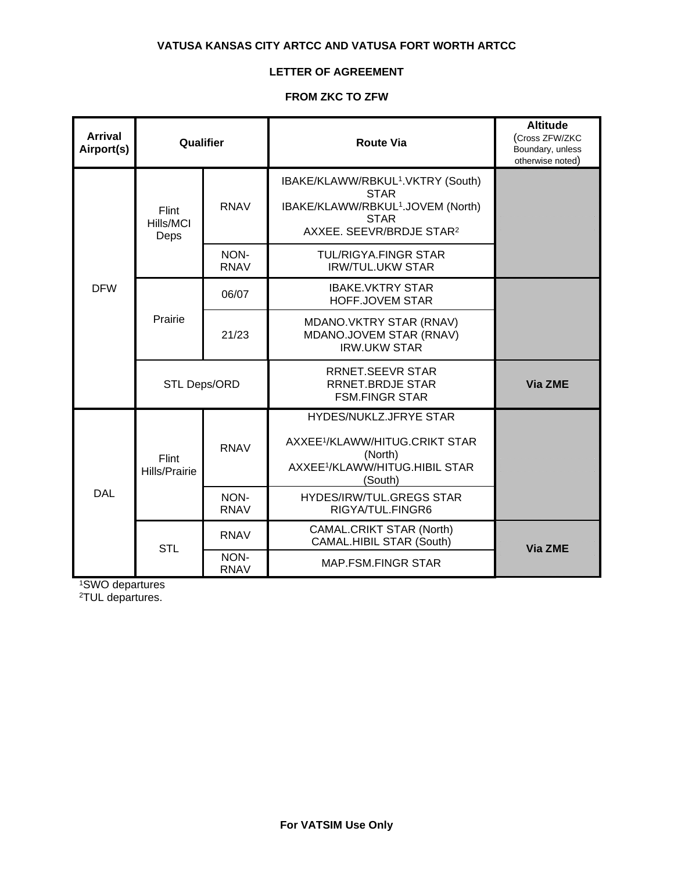# **LETTER OF AGREEMENT**

# **FROM ZKC TO ZFW**

| <b>Arrival</b><br>Airport(s) | Qualifier                     |                     | <b>Route Via</b>                                                                                                                                                     | <b>Altitude</b><br>(Cross ZFW/ZKC<br>Boundary, unless<br>otherwise noted) |
|------------------------------|-------------------------------|---------------------|----------------------------------------------------------------------------------------------------------------------------------------------------------------------|---------------------------------------------------------------------------|
| <b>DFW</b>                   | Flint<br>Hills/MCI<br>Deps    | <b>RNAV</b>         | IBAKE/KLAWW/RBKUL <sup>1</sup> .VKTRY (South)<br><b>STAR</b><br>IBAKE/KLAWW/RBKUL <sup>1</sup> .JOVEM (North)<br><b>STAR</b><br>AXXEE. SEEVR/BRDJE STAR <sup>2</sup> |                                                                           |
|                              |                               | NON-<br><b>RNAV</b> | <b>TUL/RIGYA.FINGR STAR</b><br><b>IRW/TUL.UKW STAR</b>                                                                                                               |                                                                           |
|                              | Prairie                       | 06/07               | <b>IBAKE.VKTRY STAR</b><br>HOFF.JOVEM STAR                                                                                                                           |                                                                           |
|                              |                               | 21/23               | MDANO.VKTRY STAR (RNAV)<br>MDANO.JOVEM STAR (RNAV)<br><b>IRW.UKW STAR</b>                                                                                            |                                                                           |
|                              | <b>STL Deps/ORD</b>           |                     | <b>RRNET.SEEVR STAR</b><br><b>RRNET.BRDJE STAR</b><br><b>FSM.FINGR STAR</b>                                                                                          | Via ZME                                                                   |
| <b>DAL</b>                   | Flint<br><b>Hills/Prairie</b> | <b>RNAV</b>         | HYDES/NUKLZ.JFRYE STAR<br>AXXEE <sup>1</sup> /KLAWW/HITUG.CRIKT STAR<br>(North)<br>AXXEE <sup>1</sup> /KLAWW/HITUG.HIBIL STAR<br>(South)                             |                                                                           |
|                              |                               | NON-<br><b>RNAV</b> | <b>HYDES/IRW/TUL.GREGS STAR</b><br>RIGYA/TUL.FINGR6                                                                                                                  |                                                                           |
|                              | <b>STL</b>                    | <b>RNAV</b>         | <b>CAMAL.CRIKT STAR (North)</b><br>CAMAL.HIBIL STAR (South)                                                                                                          | <b>Via ZME</b>                                                            |
|                              |                               | NON-<br><b>RNAV</b> | <b>MAP.FSM.FINGR STAR</b>                                                                                                                                            |                                                                           |

<sup>1</sup>SWO departures

2TUL departures.